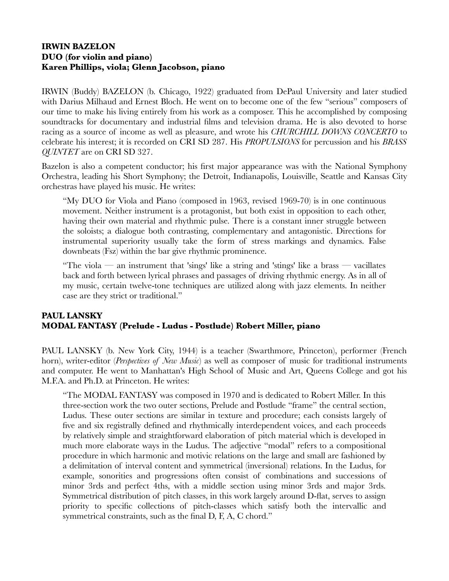## **IRWIN BAZELON DUO (for violin and piano) Karen Phillips, viola; Glenn Jacobson, piano**

IRWIN (Buddy) BAZELON (b. Chicago, 1922) graduated from DePaul University and later studied with Darius Milhaud and Ernest Bloch. He went on to become one of the few "serious" composers of our time to make his living entirely from his work as a composer. This he accomplished by composing soundtracks for documentary and industrial films and television drama. He is also devoted to horse racing as a source of income as well as pleasure, and wrote his *CHURCHILL DOWNS CONCERTO* to celebrate his interest; it is recorded on CRI SD 287. His *PROPULSIONS* for percussion and his *BRASS QUINTET* are on CRI SD 327.

Bazelon is also a competent conductor; his first major appearance was with the National Symphony Orchestra, leading his Short Symphony; the Detroit, Indianapolis, Louisville, Seattle and Kansas City orchestras have played his music. He writes:

"My DUO for Viola and Piano (composed in 1963, revised 1969-70) is in one continuous movement. Neither instrument is a protagonist, but both exist in opposition to each other, having their own material and rhythmic pulse. There is a constant inner struggle between the soloists; a dialogue both contrasting, complementary and antagonistic. Directions for instrumental superiority usually take the form of stress markings and dynamics. False downbeats (Fsz) within the bar give rhythmic prominence.

"The viola — an instrument that 'sings' like a string and 'stings' like a brass — vacillates back and forth between lyrical phrases and passages of driving rhythmic energy. As in all of my music, certain twelve-tone techniques are utilized along with jazz elements. In neither case are they strict or traditional."

# **PAUL LANSKY MODAL FANTASY (Prelude - Ludus - Postlude) Robert Miller, piano**

PAUL LANSKY (b. New York City, 1944) is a teacher (Swarthmore, Princeton), performer (French horn), writer-editor (*Perspectives of New Music*) as well as composer of music for traditional instruments and computer. He went to Manhattan's High School of Music and Art, Queens College and got his M.F.A. and Ph.D. at Princeton. He writes:

"The MODAL FANTASY was composed in 1970 and is dedicated to Robert Miller. In this three-section work the two outer sections, Prelude and Postlude "frame" the central section, Ludus. These outer sections are similar in texture and procedure; each consists largely of five and six registrally defined and rhythmically interdependent voices, and each proceeds by relatively simple and straightforward elaboration of pitch material which is developed in much more elaborate ways in the Ludus. The adjective "modal" refers to a compositional procedure in which harmonic and motivic relations on the large and small are fashioned by a delimitation of interval content and symmetrical (inversional) relations. In the Ludus, for example, sonorities and progressions often consist of combinations and successions of minor 3rds and perfect 4ths, with a middle section using minor 3rds and major 3rds. Symmetrical distribution of pitch classes, in this work largely around D-flat, serves to assign priority to specific collections of pitch-classes which satisfy both the intervallic and symmetrical constraints, such as the final D, F, A, C chord."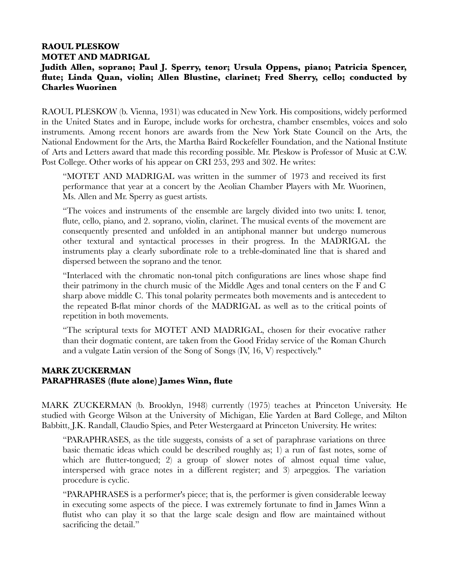## **RAOUL PLESKOW MOTET AND MADRIGAL**

# **Judith Allen, soprano; Paul J. Sperry, tenor; Ursula Oppens, piano; Patricia Spencer, flute; Linda Quan, violin; Allen Blustine, clarinet; Fred Sherry, cello; conducted by Charles Wuorinen**

RAOUL PLESKOW (b. Vienna, 1931) was educated in New York. His compositions, widely performed in the United States and in Europe, include works for orchestra, chamber ensembles, voices and solo instruments. Among recent honors are awards from the New York State Council on the Arts, the National Endowment for the Arts, the Martha Baird Rockefeller Foundation, and the National Institute of Arts and Letters award that made this recording possible. Mr. Pleskow is Professor of Music at C.W. Post College. Other works of his appear on CRI 253, 293 and 302. He writes:

"MOTET AND MADRIGAL was written in the summer of 1973 and received its first performance that year at a concert by the Aeolian Chamber Players with Mr. Wuorinen, Ms. Allen and Mr. Sperry as guest artists.

"The voices and instruments of the ensemble are largely divided into two units: I. tenor, flute, cello, piano, and 2. soprano, violin, clarinet. The musical events of the movement are consequently presented and unfolded in an antiphonal manner but undergo numerous other textural and syntactical processes in their progress. In the MADRIGAL the instruments play a clearly subordinate role to a treble-dominated line that is shared and dispersed between the soprano and the tenor.

"Interlaced with the chromatic non-tonal pitch configurations are lines whose shape find their patrimony in the church music of the Middle Ages and tonal centers on the F and C sharp above middle C. This tonal polarity permeates both movements and is antecedent to the repeated B-flat minor chords of the MADRIGAL as well as to the critical points of repetition in both movements.

"The scriptural texts for MOTET AND MADRIGAL, chosen for their evocative rather than their dogmatic content, are taken from the Good Friday service of the Roman Church and a vulgate Latin version of the Song of Songs (IV, 16, V) respectively."

## **MARK ZUCKERMAN PARAPHRASES (flute alone) James Winn, flute**

MARK ZUCKERMAN (b. Brooklyn, 1948) currently (1975) teaches at Princeton University. He studied with George Wilson at the University of Michigan, Elie Yarden at Bard College, and Milton Babbitt, J.K. Randall, Claudio Spies, and Peter Westergaard at Princeton University. He writes:

"PARAPHRASES, as the title suggests, consists of a set of paraphrase variations on three basic thematic ideas which could be described roughly as; 1) a run of fast notes, some of which are flutter-tongued; 2) a group of slower notes of almost equal time value, interspersed with grace notes in a different register; and 3) arpeggios. The variation procedure is cyclic.

"PARAPHRASES is a performer's piece; that is, the performer is given considerable leeway in executing some aspects of the piece. I was extremely fortunate to find in James Winn a flutist who can play it so that the large scale design and flow are maintained without sacrificing the detail."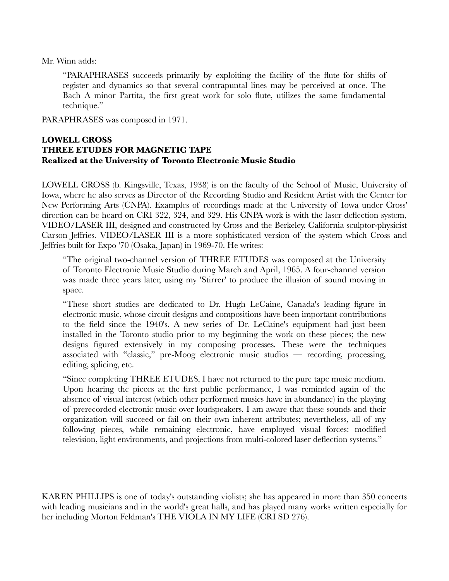Mr. Winn adds:

"PARAPHRASES succeeds primarily by exploiting the facility of the flute for shifts of register and dynamics so that several contrapuntal lines may be perceived at once. The Bach A minor Partita, the first great work for solo flute, utilizes the same fundamental technique."

PARAPHRASES was composed in 1971.

## **LOWELL CROSS THREE ETUDES FOR MAGNETIC TAPE Realized at the University of Toronto Electronic Music Studio**

LOWELL CROSS (b. Kingsville, Texas, 1938) is on the faculty of the School of Music, University of Iowa, where he also serves as Director of the Recording Studio and Resident Artist with the Center for New Performing Arts (CNPA). Examples of recordings made at the University of Iowa under Cross' direction can be heard on CRI 322, 324, and 329. His CNPA work is with the laser deflection system, VIDEO/LASER III, designed and constructed by Cross and the Berkeley, California sculptor-physicist Carson Jeffries. VIDEO/LASER III is a more sophisticated version of the system which Cross and Jeffries built for Expo '70 (Osaka, Japan) in 1969-70. He writes:

"The original two-channel version of THREE ETUDES was composed at the University of Toronto Electronic Music Studio during March and April, 1965. A four-channel version was made three years later, using my 'Stirrer' to produce the illusion of sound moving in space.

"These short studies are dedicated to Dr. Hugh LeCaine, Canada's leading figure in electronic music, whose circuit designs and compositions have been important contributions to the field since the 1940's. A new series of Dr. LeCaine's equipment had just been installed in the Toronto studio prior to my beginning the work on these pieces; the new designs figured extensively in my composing processes. These were the techniques associated with "classic," pre-Moog electronic music studios — recording, processing, editing, splicing, etc.

"Since completing THREE ETUDES, I have not returned to the pure tape music medium. Upon hearing the pieces at the first public performance, I was reminded again of the absence of visual interest (which other performed musics have in abundance) in the playing of prerecorded electronic music over loudspeakers. I am aware that these sounds and their organization will succeed or fail on their own inherent attributes; nevertheless, all of my following pieces, while remaining electronic, have employed visual forces: modified television, light environments, and projections from multi-colored laser deflection systems."

KAREN PHILLIPS is one of today's outstanding violists; she has appeared in more than 350 concerts with leading musicians and in the world's great halls, and has played many works written especially for her including Morton Feldman's THE VIOLA IN MY LIFE (CRI SD 276).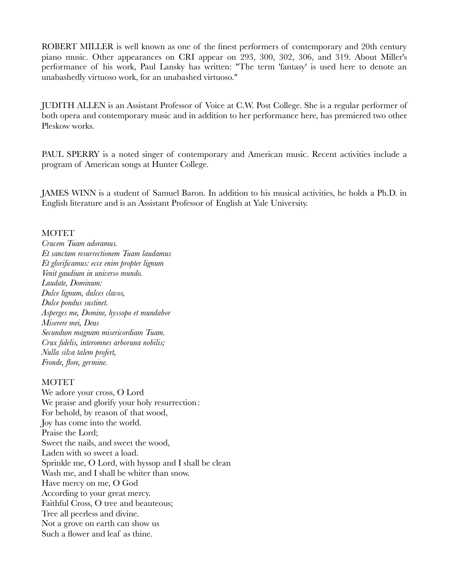ROBERT MILLER is well known as one of the finest performers of contemporary and 20th century piano music. Other appearances on CRI appear on 293, 300, 302, 306, and 319. About Miller's performance of his work, Paul Lansky has written: "The term 'fantasy' is used here to denote an unabashedly virtuoso work, for an unabashed virtuoso."

JUDITH ALLEN is an Assistant Professor of Voice at C.W. Post College. She is a regular performer of both opera and contemporary music and in addition to her performance here, has premiered two other Pleskow works.

PAUL SPERRY is a noted singer of contemporary and American music. Recent activities include a program of American songs at Hunter College.

JAMES WINN is a student of Samuel Baron. In addition to his musical activities, he holds a Ph.D. in English literature and is an Assistant Professor of English at Yale University.

#### **MOTET**

*Crucem Tuam adoramus. Et sanctam resurrectionem Tuam laudamus Et glorificamus: ecce enim propter lignum Venit gaudium in universo mundo. Laudate, Dominum: Dulce lignum, dulces clavos, Dulce pondus sustinet. Asperges me, Domine, hyssopo et mundabor Miserere mei, Deus Secundum magnam misericordiam Tuam. Crux fidelis, interomnes arboruna nobilis; Nulla silva talem profert, Fronde, flore, germine.*

#### **MOTET**

We adore your cross, O Lord We praise and glorify your holy resurrection: For behold, by reason of that wood, Joy has come into the world. Praise the Lord; Sweet the nails, and sweet the wood, Laden with so sweet a load. Sprinkle me, O Lord, with hyssop and I shall be clean Wash me, and I shall be whiter than snow. Have mercy on me, O God According to your great mercy. Faithful Cross, O tree and beauteous; Tree all peerless and divine. Not a grove on earth can show us Such a flower and leaf as thine.